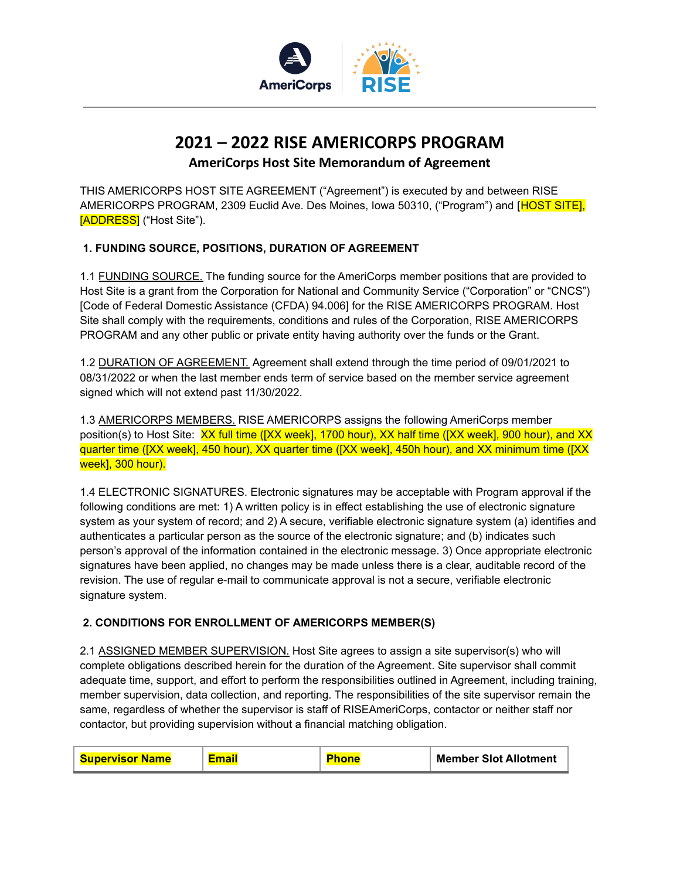

# **2021 – 2022 RISE AMERICORPS PROGRAM**

**AmeriCorps Host Site Memorandum of Agreement**

THIS AMERICORPS HOST SITE AGREEMENT ("Agreement") is executed by and between RISE AMERICORPS PROGRAM, 2309 Euclid Ave. Des Moines, Iowa 50310, ("Program") and [HOST SITE], [ADDRESS] ("Host Site").

## **1. FUNDING SOURCE, POSITIONS, DURATION OF AGREEMENT**

1.1 FUNDING SOURCE. The funding source for the AmeriCorps member positions that are provided to Host Site is a grant from the Corporation for National and Community Service ("Corporation" or "CNCS") [Code of Federal Domestic Assistance (CFDA) 94.006] for the RISE AMERICORPS PROGRAM. Host Site shall comply with the requirements, conditions and rules of the Corporation, RISE AMERICORPS PROGRAM and any other public or private entity having authority over the funds or the Grant.

1.2 DURATION OF AGREEMENT. Agreement shall extend through the time period of 09/01/2021 to 08/31/2022 or when the last member ends term of service based on the member service agreement signed which will not extend past 11/30/2022.

1.3 AMERICORPS MEMBERS. RISE AMERICORPS assigns the following AmeriCorps member position(s) to Host Site: XX full time ([XX week], 1700 hour), XX half time ([XX week], 900 hour), and XX quarter time ([XX week], 450 hour), XX quarter time ([XX week], 450h hour), and XX minimum time ([XX week], 300 hour).

1.4 ELECTRONIC SIGNATURES. Electronic signatures may be acceptable with Program approval if the following conditions are met: 1) A written policy is in effect establishing the use of electronic signature system as your system of record; and 2) A secure, verifiable electronic signature system (a) identifies and authenticates a particular person as the source of the electronic signature; and (b) indicates such person's approval of the information contained in the electronic message. 3) Once appropriate electronic signatures have been applied, no changes may be made unless there is a clear, auditable record of the revision. The use of regular e-mail to communicate approval is not a secure, verifiable electronic signature system.

#### **2. CONDITIONS FOR ENROLLMENT OF AMERICORPS MEMBER(S)**

2.1 ASSIGNED MEMBER SUPERVISION. Host Site agrees to assign a site supervisor(s) who will complete obligations described herein for the duration of the Agreement. Site supervisor shall commit adequate time, support, and effort to perform the responsibilities outlined in Agreement, including training, member supervision, data collection, and reporting. The responsibilities of the site supervisor remain the same, regardless of whether the supervisor is staff of RISEAmeriCorps, contactor or neither staff nor contactor, but providing supervision without a financial matching obligation.

| <b>Supervisor Name</b> |  |  | <b>Member Slot Allotment</b> |
|------------------------|--|--|------------------------------|
|------------------------|--|--|------------------------------|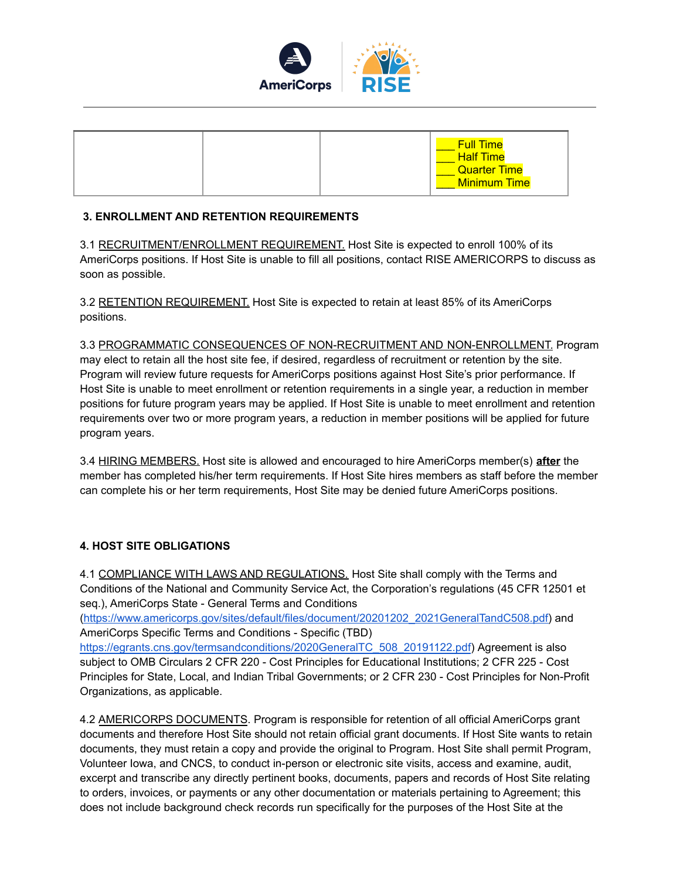

|  |  |  | <b>Full Time</b><br><b>Half Time</b><br><b>Quarter Time</b><br><b>Minimum Time</b> |
|--|--|--|------------------------------------------------------------------------------------|
|--|--|--|------------------------------------------------------------------------------------|

#### **3. ENROLLMENT AND RETENTION REQUIREMENTS**

3.1 RECRUITMENT/ENROLLMENT REQUIREMENT. Host Site is expected to enroll 100% of its AmeriCorps positions. If Host Site is unable to fill all positions, contact RISE AMERICORPS to discuss as soon as possible.

3.2 RETENTION REQUIREMENT. Host Site is expected to retain at least 85% of its AmeriCorps positions.

3.3 PROGRAMMATIC CONSEQUENCES OF NON-RECRUITMENT AND NON-ENROLLMENT. Program may elect to retain all the host site fee, if desired, regardless of recruitment or retention by the site. Program will review future requests for AmeriCorps positions against Host Site's prior performance. If Host Site is unable to meet enrollment or retention requirements in a single year, a reduction in member positions for future program years may be applied. If Host Site is unable to meet enrollment and retention requirements over two or more program years, a reduction in member positions will be applied for future program years.

3.4 HIRING MEMBERS. Host site is allowed and encouraged to hire AmeriCorps member(s) **after** the member has completed his/her term requirements. If Host Site hires members as staff before the member can complete his or her term requirements, Host Site may be denied future AmeriCorps positions.

#### **4. HOST SITE OBLIGATIONS**

4.1 COMPLIANCE WITH LAWS AND REGULATIONS. Host Site shall comply with the Terms and Conditions of the National and Community Service Act, the Corporation's regulations (45 CFR 12501 et seq.), AmeriCorps State - General Terms and Conditions

[\(https://www.americorps.gov/sites/default/files/document/20201202\\_2021GeneralTandC508.pdf\)](https://www.americorps.gov/sites/default/files/document/20201202_2021GeneralTandC508.pdf) and AmeriCorps Specific Terms and Conditions - Specific (TBD)

[https://egrants.cns.gov/termsandconditions/2020GeneralTC\\_508\\_20191122.pdf](https://egrants.cns.gov/termsandconditions/2020GeneralTC_508_20191122.pdf)) Agreement is also subject to OMB Circulars 2 CFR 220 - Cost Principles for Educational Institutions; 2 CFR 225 - Cost Principles for State, Local, and Indian Tribal Governments; or 2 CFR 230 - Cost Principles for Non-Profit Organizations, as applicable.

4.2 AMERICORPS DOCUMENTS. Program is responsible for retention of all official AmeriCorps grant documents and therefore Host Site should not retain official grant documents. If Host Site wants to retain documents, they must retain a copy and provide the original to Program. Host Site shall permit Program, Volunteer Iowa, and CNCS, to conduct in-person or electronic site visits, access and examine, audit, excerpt and transcribe any directly pertinent books, documents, papers and records of Host Site relating to orders, invoices, or payments or any other documentation or materials pertaining to Agreement; this does not include background check records run specifically for the purposes of the Host Site at the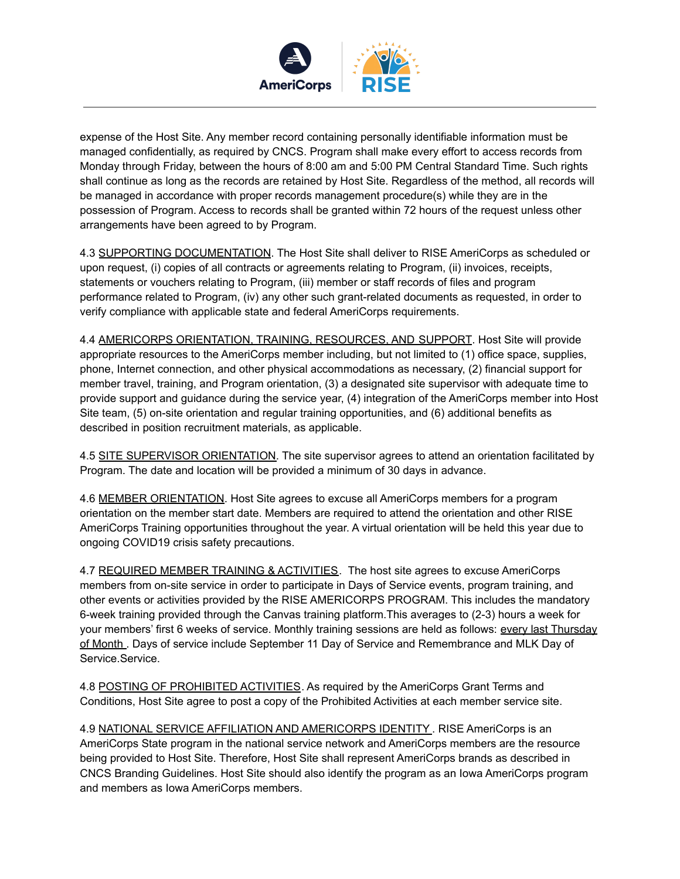

expense of the Host Site. Any member record containing personally identifiable information must be managed confidentially, as required by CNCS. Program shall make every effort to access records from Monday through Friday, between the hours of 8:00 am and 5:00 PM Central Standard Time. Such rights shall continue as long as the records are retained by Host Site. Regardless of the method, all records will be managed in accordance with proper records management procedure(s) while they are in the possession of Program. Access to records shall be granted within 72 hours of the request unless other arrangements have been agreed to by Program.

4.3 SUPPORTING DOCUMENTATION. The Host Site shall deliver to RISE AmeriCorps as scheduled or upon request, (i) copies of all contracts or agreements relating to Program, (ii) invoices, receipts, statements or vouchers relating to Program, (iii) member or staff records of files and program performance related to Program, (iv) any other such grant-related documents as requested, in order to verify compliance with applicable state and federal AmeriCorps requirements.

4.4 AMERICORPS ORIENTATION, TRAINING, RESOURCES, AND SUPPORT. Host Site will provide appropriate resources to the AmeriCorps member including, but not limited to (1) office space, supplies, phone, Internet connection, and other physical accommodations as necessary, (2) financial support for member travel, training, and Program orientation, (3) a designated site supervisor with adequate time to provide support and guidance during the service year, (4) integration of the AmeriCorps member into Host Site team, (5) on-site orientation and regular training opportunities, and (6) additional benefits as described in position recruitment materials, as applicable.

4.5 SITE SUPERVISOR ORIENTATION. The site supervisor agrees to attend an orientation facilitated by Program. The date and location will be provided a minimum of 30 days in advance.

4.6 MEMBER ORIENTATION. Host Site agrees to excuse all AmeriCorps members for a program orientation on the member start date. Members are required to attend the orientation and other RISE AmeriCorps Training opportunities throughout the year. A virtual orientation will be held this year due to ongoing COVID19 crisis safety precautions.

4.7 REQUIRED MEMBER TRAINING & ACTIVITIES. The host site agrees to excuse AmeriCorps members from on-site service in order to participate in Days of Service events, program training, and other events or activities provided by the RISE AMERICORPS PROGRAM. This includes the mandatory 6-week training provided through the Canvas training platform.This averages to (2-3) hours a week for your members' first 6 weeks of service. Monthly training sessions are held as follows: every last Thursday of Month . Days of service include September 11 Day of Service and Remembrance and MLK Day of Service.Service.

4.8 POSTING OF PROHIBITED ACTIVITIES. As required by the AmeriCorps Grant Terms and Conditions, Host Site agree to post a copy of the Prohibited Activities at each member service site.

4.9 NATIONAL SERVICE AFFILIATION AND AMERICORPS IDENTITY . RISE AmeriCorps is an AmeriCorps State program in the national service network and AmeriCorps members are the resource being provided to Host Site. Therefore, Host Site shall represent AmeriCorps brands as described in CNCS Branding Guidelines. Host Site should also identify the program as an Iowa AmeriCorps program and members as Iowa AmeriCorps members.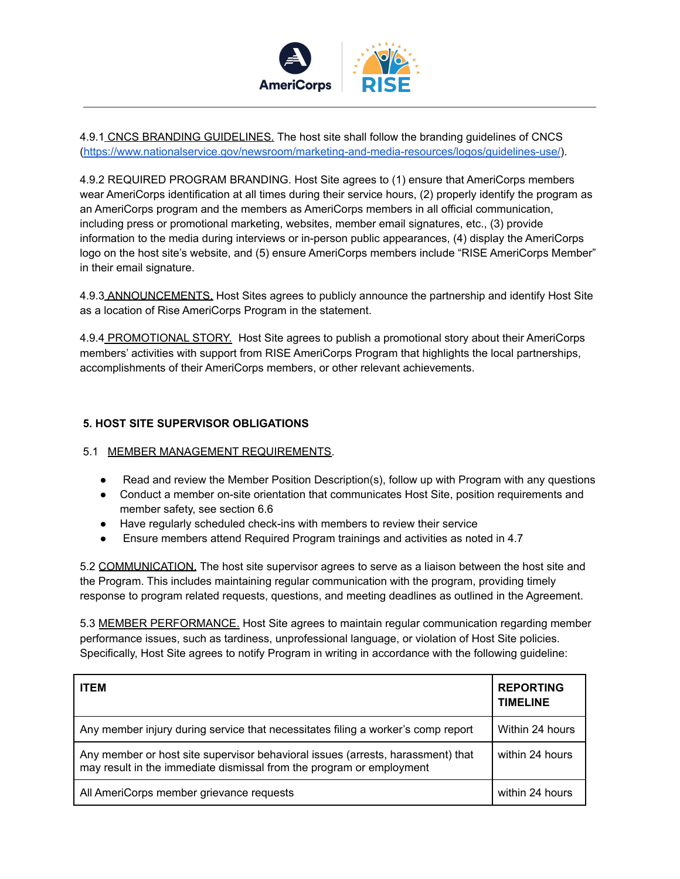

4.9.1 CNCS BRANDING GUIDELINES. The host site shall follow the branding guidelines of CNCS [\(https://www.nationalservice.gov/newsroom/marketing-and-media-resources/logos/guidelines-use/\)](https://www.nationalservice.gov/newsroom/marketing-and-media-resources/logos/guidelines-use/).

4.9.2 REQUIRED PROGRAM BRANDING. Host Site agrees to (1) ensure that AmeriCorps members wear AmeriCorps identification at all times during their service hours, (2) properly identify the program as an AmeriCorps program and the members as AmeriCorps members in all official communication, including press or promotional marketing, websites, member email signatures, etc., (3) provide information to the media during interviews or in-person public appearances, (4) display the AmeriCorps logo on the host site's website, and (5) ensure AmeriCorps members include "RISE AmeriCorps Member" in their email signature.

4.9.3 ANNOUNCEMENTS. Host Sites agrees to publicly announce the partnership and identify Host Site as a location of Rise AmeriCorps Program in the statement.

4.9.4 PROMOTIONAL STORY. Host Site agrees to publish a promotional story about their AmeriCorps members' activities with support from RISE AmeriCorps Program that highlights the local partnerships, accomplishments of their AmeriCorps members, or other relevant achievements.

#### **5. HOST SITE SUPERVISOR OBLIGATIONS**

#### 5.1 MEMBER MANAGEMENT REQUIREMENTS.

- Read and review the Member Position Description(s), follow up with Program with any questions
- Conduct a member on-site orientation that communicates Host Site, position requirements and member safety, see section 6.6
- Have regularly scheduled check-ins with members to review their service
- Ensure members attend Required Program trainings and activities as noted in 4.7

5.2 COMMUNICATION. The host site supervisor agrees to serve as a liaison between the host site and the Program. This includes maintaining regular communication with the program, providing timely response to program related requests, questions, and meeting deadlines as outlined in the Agreement.

5.3 MEMBER PERFORMANCE. Host Site agrees to maintain regular communication regarding member performance issues, such as tardiness, unprofessional language, or violation of Host Site policies. Specifically, Host Site agrees to notify Program in writing in accordance with the following guideline:

| <b>ITEM</b>                                                                                                                                             | <b>REPORTING</b><br><b>TIMELINE</b> |
|---------------------------------------------------------------------------------------------------------------------------------------------------------|-------------------------------------|
| Any member injury during service that necessitates filing a worker's comp report                                                                        | Within 24 hours                     |
| Any member or host site supervisor behavioral issues (arrests, harassment) that<br>may result in the immediate dismissal from the program or employment | within 24 hours                     |
| All AmeriCorps member grievance requests                                                                                                                | within 24 hours                     |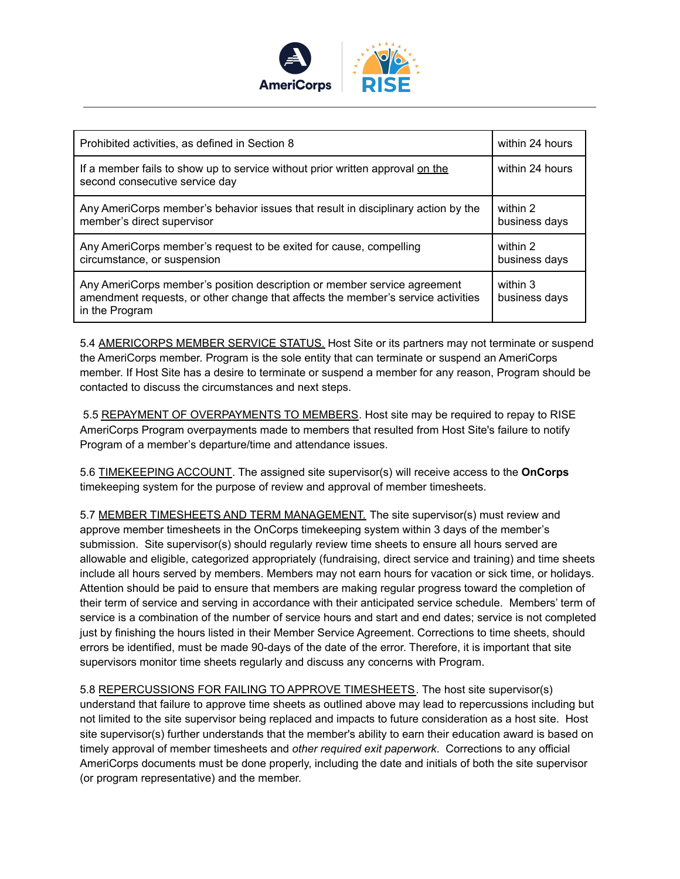

| Prohibited activities, as defined in Section 8                                                                                                                                 | within 24 hours           |
|--------------------------------------------------------------------------------------------------------------------------------------------------------------------------------|---------------------------|
| If a member fails to show up to service without prior written approval on the<br>second consecutive service day                                                                | within 24 hours           |
| Any AmeriCorps member's behavior issues that result in disciplinary action by the<br>member's direct supervisor                                                                | within 2<br>business days |
| Any AmeriCorps member's request to be exited for cause, compelling<br>circumstance, or suspension                                                                              | within 2<br>business days |
| Any AmeriCorps member's position description or member service agreement<br>amendment requests, or other change that affects the member's service activities<br>in the Program | within 3<br>business days |

5.4 AMERICORPS MEMBER SERVICE STATUS. Host Site or its partners may not terminate or suspend the AmeriCorps member. Program is the sole entity that can terminate or suspend an AmeriCorps member. If Host Site has a desire to terminate or suspend a member for any reason, Program should be contacted to discuss the circumstances and next steps.

5.5 REPAYMENT OF OVERPAYMENTS TO MEMBERS. Host site may be required to repay to RISE AmeriCorps Program overpayments made to members that resulted from Host Site's failure to notify Program of a member's departure/time and attendance issues.

5.6 TIMEKEEPING ACCOUNT. The assigned site supervisor(s) will receive access to the **OnCorps** timekeeping system for the purpose of review and approval of member timesheets.

5.7 MEMBER TIMESHEETS AND TERM MANAGEMENT. The site supervisor(s) must review and approve member timesheets in the OnCorps timekeeping system within 3 days of the member's submission. Site supervisor(s) should regularly review time sheets to ensure all hours served are allowable and eligible, categorized appropriately (fundraising, direct service and training) and time sheets include all hours served by members. Members may not earn hours for vacation or sick time, or holidays. Attention should be paid to ensure that members are making regular progress toward the completion of their term of service and serving in accordance with their anticipated service schedule. Members' term of service is a combination of the number of service hours and start and end dates; service is not completed just by finishing the hours listed in their Member Service Agreement. Corrections to time sheets, should errors be identified, must be made 90-days of the date of the error. Therefore, it is important that site supervisors monitor time sheets regularly and discuss any concerns with Program.

5.8 REPERCUSSIONS FOR FAILING TO APPROVE TIMESHEETS. The host site supervisor(s) understand that failure to approve time sheets as outlined above may lead to repercussions including but not limited to the site supervisor being replaced and impacts to future consideration as a host site. Host site supervisor(s) further understands that the member's ability to earn their education award is based on timely approval of member timesheets and *other required exit paperwork*. Corrections to any official AmeriCorps documents must be done properly, including the date and initials of both the site supervisor (or program representative) and the member.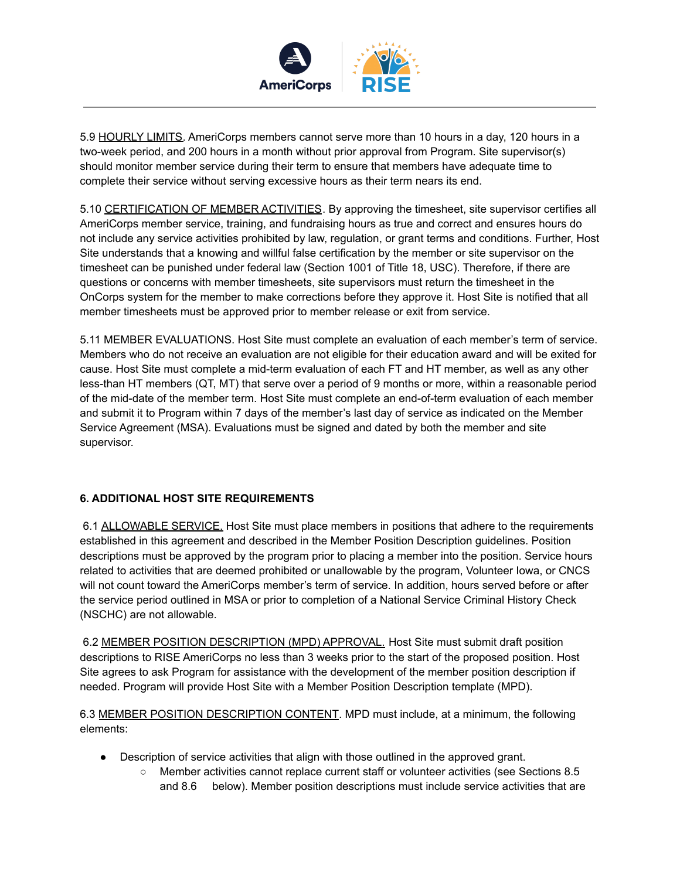

5.9 HOURLY LIMITS. AmeriCorps members cannot serve more than 10 hours in a day, 120 hours in a two-week period, and 200 hours in a month without prior approval from Program. Site supervisor(s) should monitor member service during their term to ensure that members have adequate time to complete their service without serving excessive hours as their term nears its end.

5.10 CERTIFICATION OF MEMBER ACTIVITIES. By approving the timesheet, site supervisor certifies all AmeriCorps member service, training, and fundraising hours as true and correct and ensures hours do not include any service activities prohibited by law, regulation, or grant terms and conditions. Further, Host Site understands that a knowing and willful false certification by the member or site supervisor on the timesheet can be punished under federal law (Section 1001 of Title 18, USC). Therefore, if there are questions or concerns with member timesheets, site supervisors must return the timesheet in the OnCorps system for the member to make corrections before they approve it. Host Site is notified that all member timesheets must be approved prior to member release or exit from service.

5.11 MEMBER EVALUATIONS. Host Site must complete an evaluation of each member's term of service. Members who do not receive an evaluation are not eligible for their education award and will be exited for cause. Host Site must complete a mid-term evaluation of each FT and HT member, as well as any other less-than HT members (QT, MT) that serve over a period of 9 months or more, within a reasonable period of the mid-date of the member term. Host Site must complete an end-of-term evaluation of each member and submit it to Program within 7 days of the member's last day of service as indicated on the Member Service Agreement (MSA). Evaluations must be signed and dated by both the member and site supervisor.

#### **6. ADDITIONAL HOST SITE REQUIREMENTS**

6.1 ALLOWABLE SERVICE. Host Site must place members in positions that adhere to the requirements established in this agreement and described in the Member Position Description guidelines. Position descriptions must be approved by the program prior to placing a member into the position. Service hours related to activities that are deemed prohibited or unallowable by the program, Volunteer Iowa, or CNCS will not count toward the AmeriCorps member's term of service. In addition, hours served before or after the service period outlined in MSA or prior to completion of a National Service Criminal History Check (NSCHC) are not allowable.

6.2 MEMBER POSITION DESCRIPTION (MPD) APPROVAL. Host Site must submit draft position descriptions to RISE AmeriCorps no less than 3 weeks prior to the start of the proposed position. Host Site agrees to ask Program for assistance with the development of the member position description if needed. Program will provide Host Site with a Member Position Description template (MPD).

6.3 MEMBER POSITION DESCRIPTION CONTENT. MPD must include, at a minimum, the following elements:

- Description of service activities that align with those outlined in the approved grant.
	- Member activities cannot replace current staff or volunteer activities (see Sections 8.5 and 8.6 below). Member position descriptions must include service activities that are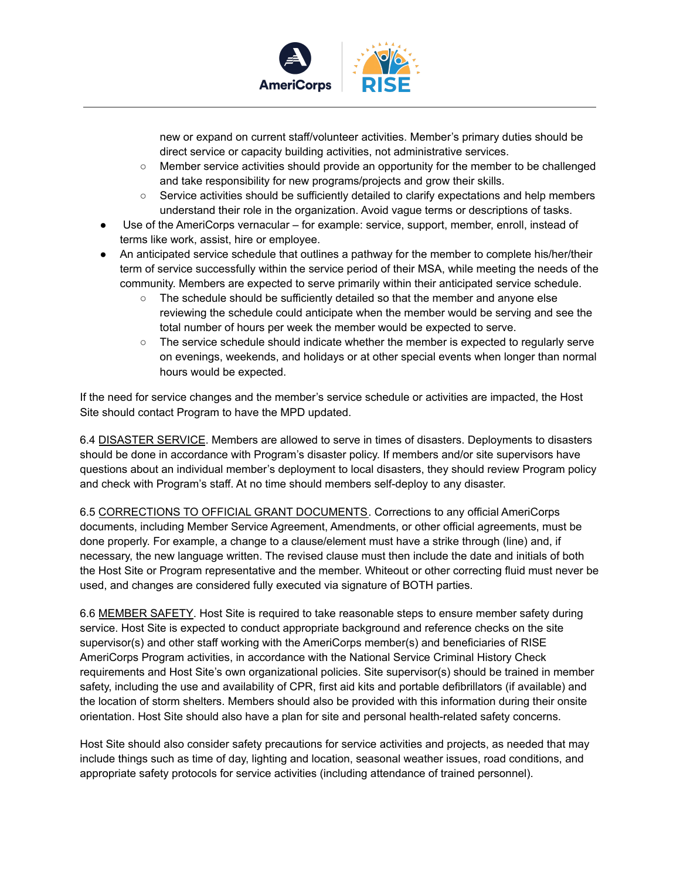

new or expand on current staff/volunteer activities. Member's primary duties should be direct service or capacity building activities, not administrative services.

- Member service activities should provide an opportunity for the member to be challenged and take responsibility for new programs/projects and grow their skills.
- Service activities should be sufficiently detailed to clarify expectations and help members understand their role in the organization. Avoid vague terms or descriptions of tasks.
- Use of the AmeriCorps vernacular for example: service, support, member, enroll, instead of terms like work, assist, hire or employee.
- An anticipated service schedule that outlines a pathway for the member to complete his/her/their term of service successfully within the service period of their MSA, while meeting the needs of the community. Members are expected to serve primarily within their anticipated service schedule.
	- The schedule should be sufficiently detailed so that the member and anyone else reviewing the schedule could anticipate when the member would be serving and see the total number of hours per week the member would be expected to serve.
	- The service schedule should indicate whether the member is expected to regularly serve on evenings, weekends, and holidays or at other special events when longer than normal hours would be expected.

If the need for service changes and the member's service schedule or activities are impacted, the Host Site should contact Program to have the MPD updated.

6.4 DISASTER SERVICE. Members are allowed to serve in times of disasters. Deployments to disasters should be done in accordance with Program's disaster policy. If members and/or site supervisors have questions about an individual member's deployment to local disasters, they should review Program policy and check with Program's staff. At no time should members self-deploy to any disaster.

6.5 CORRECTIONS TO OFFICIAL GRANT DOCUMENTS. Corrections to any official AmeriCorps documents, including Member Service Agreement, Amendments, or other official agreements, must be done properly. For example, a change to a clause/element must have a strike through (line) and, if necessary, the new language written. The revised clause must then include the date and initials of both the Host Site or Program representative and the member. Whiteout or other correcting fluid must never be used, and changes are considered fully executed via signature of BOTH parties.

6.6 MEMBER SAFETY. Host Site is required to take reasonable steps to ensure member safety during service. Host Site is expected to conduct appropriate background and reference checks on the site supervisor(s) and other staff working with the AmeriCorps member(s) and beneficiaries of RISE AmeriCorps Program activities, in accordance with the National Service Criminal History Check requirements and Host Site's own organizational policies. Site supervisor(s) should be trained in member safety, including the use and availability of CPR, first aid kits and portable defibrillators (if available) and the location of storm shelters. Members should also be provided with this information during their onsite orientation. Host Site should also have a plan for site and personal health-related safety concerns.

Host Site should also consider safety precautions for service activities and projects, as needed that may include things such as time of day, lighting and location, seasonal weather issues, road conditions, and appropriate safety protocols for service activities (including attendance of trained personnel).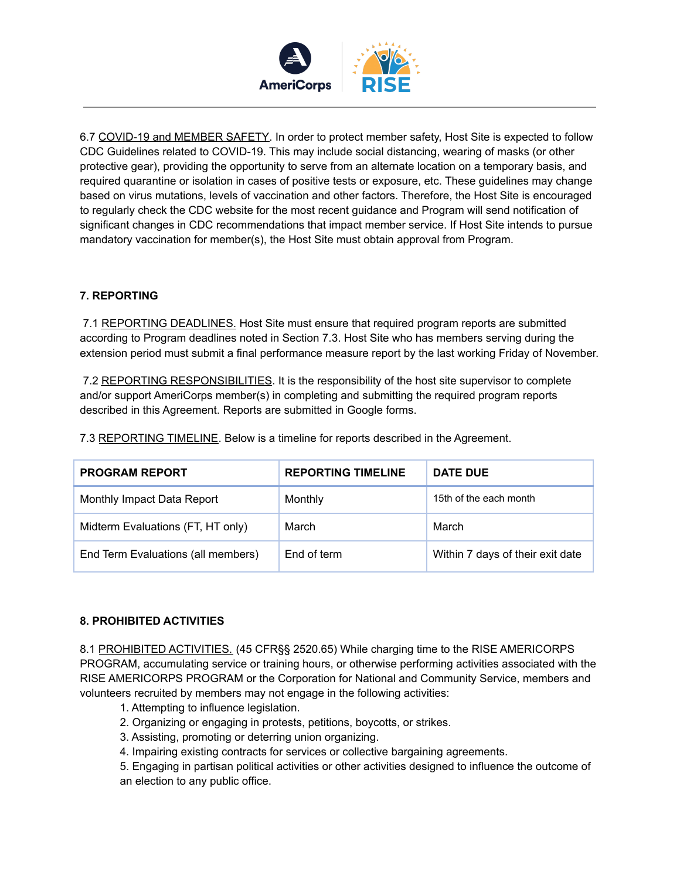

6.7 COVID-19 and MEMBER SAFETY. In order to protect member safety, Host Site is expected to follow CDC Guidelines related to COVID-19. This may include social distancing, wearing of masks (or other protective gear), providing the opportunity to serve from an alternate location on a temporary basis, and required quarantine or isolation in cases of positive tests or exposure, etc. These guidelines may change based on virus mutations, levels of vaccination and other factors. Therefore, the Host Site is encouraged to regularly check the CDC website for the most recent guidance and Program will send notification of significant changes in CDC recommendations that impact member service. If Host Site intends to pursue mandatory vaccination for member(s), the Host Site must obtain approval from Program.

## **7. REPORTING**

7.1 REPORTING DEADLINES. Host Site must ensure that required program reports are submitted according to Program deadlines noted in Section 7.3. Host Site who has members serving during the extension period must submit a final performance measure report by the last working Friday of November.

7.2 REPORTING RESPONSIBILITIES. It is the responsibility of the host site supervisor to complete and/or support AmeriCorps member(s) in completing and submitting the required program reports described in this Agreement. Reports are submitted in Google forms.

7.3 REPORTING TIMELINE. Below is a timeline for reports described in the Agreement.

| <b>PROGRAM REPORT</b>              | <b>REPORTING TIMELINE</b> | DATE DUE                         |
|------------------------------------|---------------------------|----------------------------------|
| Monthly Impact Data Report         | Monthly                   | 15th of the each month           |
| Midterm Evaluations (FT, HT only)  | March                     | March                            |
| End Term Evaluations (all members) | End of term               | Within 7 days of their exit date |

#### **8. PROHIBITED ACTIVITIES**

8.1 PROHIBITED ACTIVITIES. (45 CFR§§ 2520.65) While charging time to the RISE AMERICORPS PROGRAM, accumulating service or training hours, or otherwise performing activities associated with the RISE AMERICORPS PROGRAM or the Corporation for National and Community Service, members and volunteers recruited by members may not engage in the following activities:

- 1. Attempting to influence legislation.
- 2. Organizing or engaging in protests, petitions, boycotts, or strikes.
- 3. Assisting, promoting or deterring union organizing.
- 4. Impairing existing contracts for services or collective bargaining agreements.
- 5. Engaging in partisan political activities or other activities designed to influence the outcome of an election to any public office.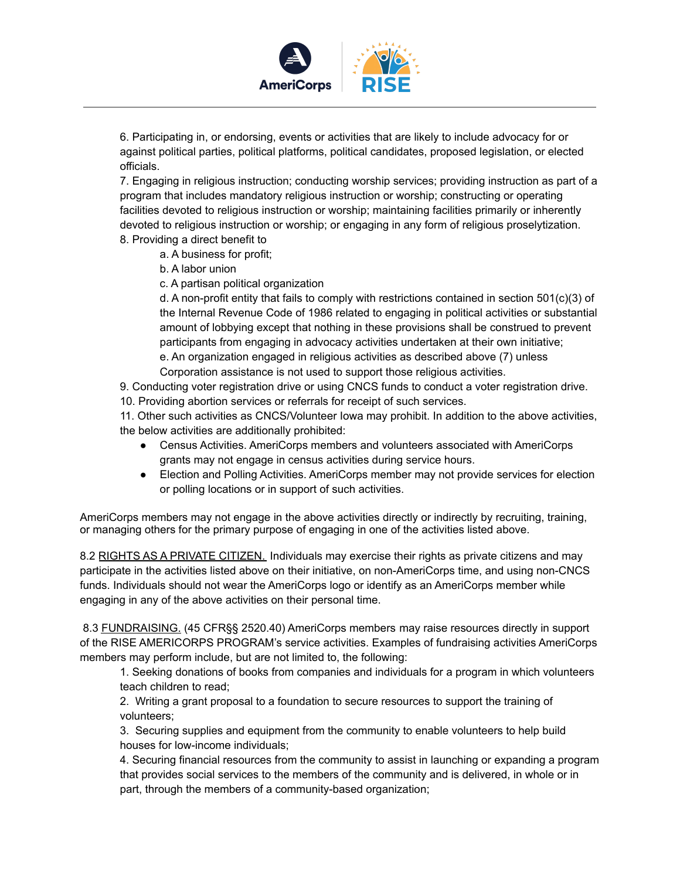

6. Participating in, or endorsing, events or activities that are likely to include advocacy for or against political parties, political platforms, political candidates, proposed legislation, or elected officials.

7. Engaging in religious instruction; conducting worship services; providing instruction as part of a program that includes mandatory religious instruction or worship; constructing or operating facilities devoted to religious instruction or worship; maintaining facilities primarily or inherently devoted to religious instruction or worship; or engaging in any form of religious proselytization. 8. Providing a direct benefit to

a. A business for profit;

- b. A labor union
- c. A partisan political organization

d. A non-profit entity that fails to comply with restrictions contained in section  $501(c)(3)$  of the Internal Revenue Code of 1986 related to engaging in political activities or substantial amount of lobbying except that nothing in these provisions shall be construed to prevent participants from engaging in advocacy activities undertaken at their own initiative;

e. An organization engaged in religious activities as described above (7) unless Corporation assistance is not used to support those religious activities.

9. Conducting voter registration drive or using CNCS funds to conduct a voter registration drive. 10. Providing abortion services or referrals for receipt of such services.

11. Other such activities as CNCS/Volunteer Iowa may prohibit. In addition to the above activities, the below activities are additionally prohibited:

- Census Activities. AmeriCorps members and volunteers associated with AmeriCorps grants may not engage in census activities during service hours.
- Election and Polling Activities. AmeriCorps member may not provide services for election or polling locations or in support of such activities.

AmeriCorps members may not engage in the above activities directly or indirectly by recruiting, training, or managing others for the primary purpose of engaging in one of the activities listed above.

8.2 RIGHTS AS A PRIVATE CITIZEN. Individuals may exercise their rights as private citizens and may participate in the activities listed above on their initiative, on non-AmeriCorps time, and using non-CNCS funds. Individuals should not wear the AmeriCorps logo or identify as an AmeriCorps member while engaging in any of the above activities on their personal time.

8.3 FUNDRAISING. (45 CFR§§ 2520.40) AmeriCorps members may raise resources directly in support of the RISE AMERICORPS PROGRAM's service activities. Examples of fundraising activities AmeriCorps members may perform include, but are not limited to, the following:

1. Seeking donations of books from companies and individuals for a program in which volunteers teach children to read;

2. Writing a grant proposal to a foundation to secure resources to support the training of volunteers;

3. Securing supplies and equipment from the community to enable volunteers to help build houses for low-income individuals;

4. Securing financial resources from the community to assist in launching or expanding a program that provides social services to the members of the community and is delivered, in whole or in part, through the members of a community-based organization;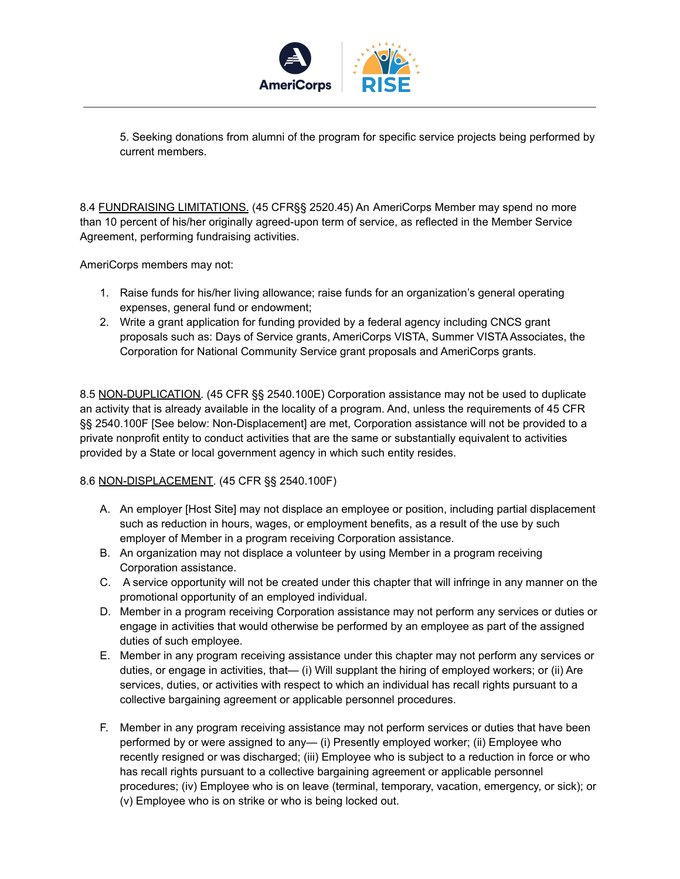

5. Seeking donations from alumni of the program for specific service projects being performed by current members.

8.4 FUNDRAISING LIMITATIONS. (45 CFR§§ 2520.45) An AmeriCorps Member may spend no more than 10 percent of his/her originally agreed-upon term of service, as reflected in the Member Service Agreement, performing fundraising activities.

AmeriCorps members may not:

- 1. Raise funds for his/her living allowance; raise funds for an organization's general operating expenses, general fund or endowment;
- 2. Write a grant application for funding provided by a federal agency including CNCS grant proposals such as: Days of Service grants, AmeriCorps VISTA, Summer VISTA Associates, the Corporation for National Community Service grant proposals and AmeriCorps grants.

8.5 NON-DUPLICATION. (45 CFR §§ 2540.100E) Corporation assistance may not be used to duplicate an activity that is already available in the locality of a program. And, unless the requirements of 45 CFR §§ 2540.100F [See below: Non-Displacement] are met, Corporation assistance will not be provided to a private nonprofit entity to conduct activities that are the same or substantially equivalent to activities provided by a State or local government agency in which such entity resides.

#### 8.6 NON-DISPLACEMENT. (45 CFR §§ 2540.100F)

- A. An employer [Host Site] may not displace an employee or position, including partial displacement such as reduction in hours, wages, or employment benefits, as a result of the use by such employer of Member in a program receiving Corporation assistance.
- B. An organization may not displace a volunteer by using Member in a program receiving Corporation assistance.
- C. A service opportunity will not be created under this chapter that will infringe in any manner on the promotional opportunity of an employed individual.
- D. Member in a program receiving Corporation assistance may not perform any services or duties or engage in activities that would otherwise be performed by an employee as part of the assigned duties of such employee.
- E. Member in any program receiving assistance under this chapter may not perform any services or duties, or engage in activities, that— (i) Will supplant the hiring of employed workers; or (ii) Are services, duties, or activities with respect to which an individual has recall rights pursuant to a collective bargaining agreement or applicable personnel procedures.
- F. Member in any program receiving assistance may not perform services or duties that have been performed by or were assigned to any— (i) Presently employed worker; (ii) Employee who recently resigned or was discharged; (iii) Employee who is subject to a reduction in force or who has recall rights pursuant to a collective bargaining agreement or applicable personnel procedures; (iv) Employee who is on leave (terminal, temporary, vacation, emergency, or sick); or (v) Employee who is on strike or who is being locked out.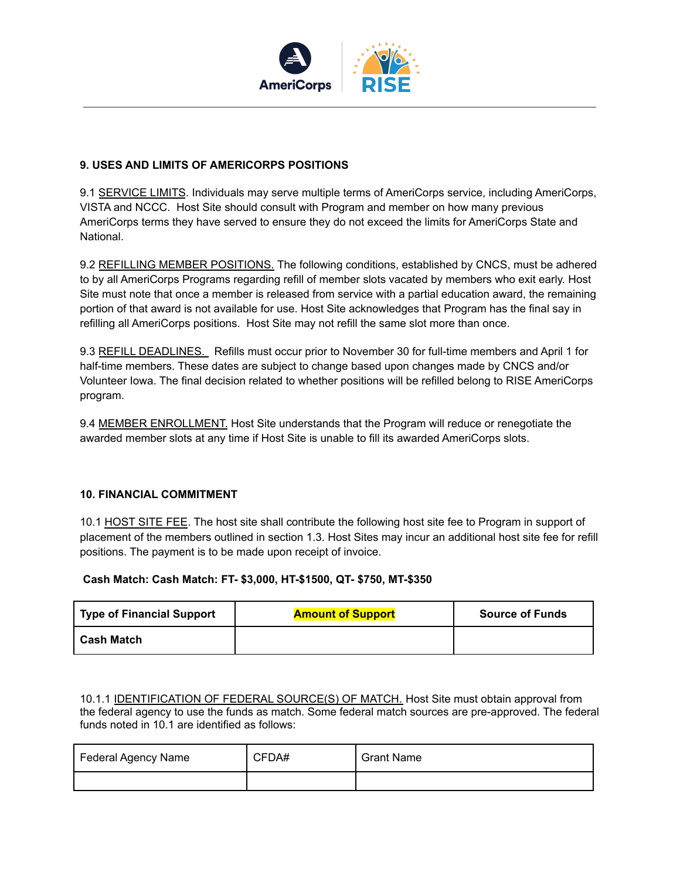

#### **9. USES AND LIMITS OF AMERICORPS POSITIONS**

9.1 SERVICE LIMITS. Individuals may serve multiple terms of AmeriCorps service, including AmeriCorps, VISTA and NCCC. Host Site should consult with Program and member on how many previous AmeriCorps terms they have served to ensure they do not exceed the limits for AmeriCorps State and National.

9.2 REFILLING MEMBER POSITIONS. The following conditions, established by CNCS, must be adhered to by all AmeriCorps Programs regarding refill of member slots vacated by members who exit early. Host Site must note that once a member is released from service with a partial education award, the remaining portion of that award is not available for use. Host Site acknowledges that Program has the final say in refilling all AmeriCorps positions. Host Site may not refill the same slot more than once.

9.3 REFILL DEADLINES. Refills must occur prior to November 30 for full-time members and April 1 for half-time members. These dates are subject to change based upon changes made by CNCS and/or Volunteer Iowa. The final decision related to whether positions will be refilled belong to RISE AmeriCorps program.

9.4 MEMBER ENROLLMENT. Host Site understands that the Program will reduce or renegotiate the awarded member slots at any time if Host Site is unable to fill its awarded AmeriCorps slots.

#### **10. FINANCIAL COMMITMENT**

10.1 HOST SITE FEE. The host site shall contribute the following host site fee to Program in support of placement of the members outlined in section 1.3. Host Sites may incur an additional host site fee for refill positions. The payment is to be made upon receipt of invoice.

#### **Cash Match: Cash Match: FT- \$3,000, HT-\$1500, QT- \$750, MT-\$350**

| <b>Type of Financial Support</b> | <b>Amount of Support</b> | <b>Source of Funds</b> |
|----------------------------------|--------------------------|------------------------|
| <b>Cash Match</b>                |                          |                        |

10.1.1 **IDENTIFICATION OF FEDERAL SOURCE(S) OF MATCH.** Host Site must obtain approval from the federal agency to use the funds as match. Some federal match sources are pre-approved. The federal funds noted in 10.1 are identified as follows:

| Federal Agency Name | CFDA# | <b>Grant Name</b> |
|---------------------|-------|-------------------|
|                     |       |                   |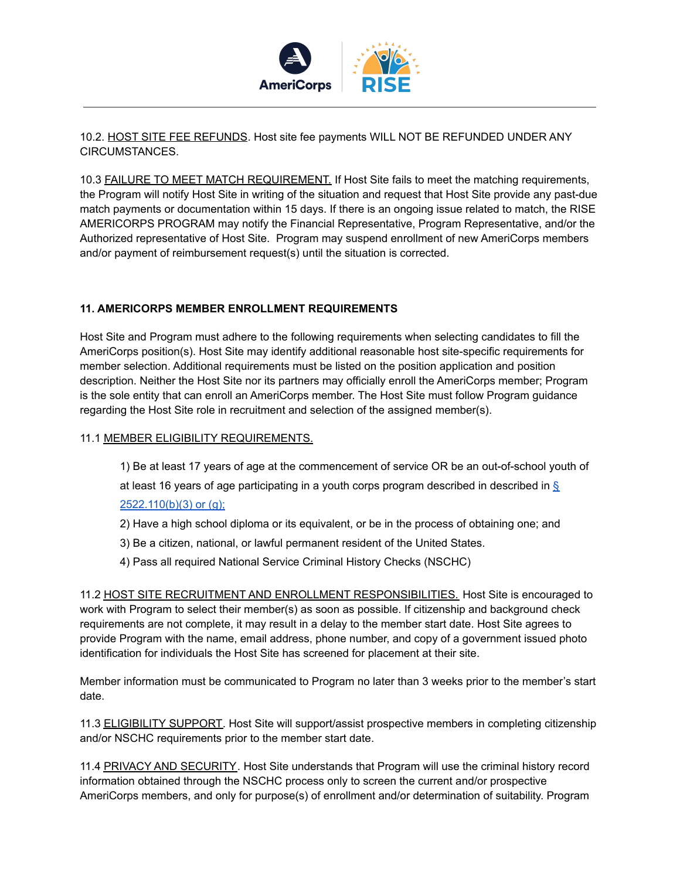

10.2. HOST SITE FEE REFUNDS. Host site fee payments WILL NOT BE REFUNDED UNDER ANY CIRCUMSTANCES.

10.3 FAILURE TO MEET MATCH REQUIREMENT. If Host Site fails to meet the matching requirements, the Program will notify Host Site in writing of the situation and request that Host Site provide any past-due match payments or documentation within 15 days. If there is an ongoing issue related to match, the RISE AMERICORPS PROGRAM may notify the Financial Representative, Program Representative, and/or the Authorized representative of Host Site. Program may suspend enrollment of new AmeriCorps members and/or payment of reimbursement request(s) until the situation is corrected.

#### **11. AMERICORPS MEMBER ENROLLMENT REQUIREMENTS**

Host Site and Program must adhere to the following requirements when selecting candidates to fill the AmeriCorps position(s). Host Site may identify additional reasonable host site-specific requirements for member selection. Additional requirements must be listed on the position application and position description. Neither the Host Site nor its partners may officially enroll the AmeriCorps member; Program is the sole entity that can enroll an AmeriCorps member. The Host Site must follow Program guidance regarding the Host Site role in recruitment and selection of the assigned member(s).

#### 11.1 MEMBER ELIGIBILITY REQUIREMENTS.

1) Be at least 17 years of age at the commencement of service OR be an out-of-school youth of at least 16 years of age participating in a youth corps program described in described in [§](https://www.law.cornell.edu/cfr/text/45/2522.110#b_3) [2522.110\(b\)\(3\)](https://www.law.cornell.edu/cfr/text/45/2522.110#b_3) or (g);

- 2) Have a high school diploma or its equivalent, or be in the process of obtaining one; and
- 3) Be a citizen, national, or lawful permanent resident of the United States.
- 4) Pass all required National Service Criminal History Checks (NSCHC)

11.2 HOST SITE RECRUITMENT AND ENROLLMENT RESPONSIBILITIES. Host Site is encouraged to work with Program to select their member(s) as soon as possible. If citizenship and background check requirements are not complete, it may result in a delay to the member start date. Host Site agrees to provide Program with the name, email address, phone number, and copy of a government issued photo identification for individuals the Host Site has screened for placement at their site.

Member information must be communicated to Program no later than 3 weeks prior to the member's start date.

11.3 ELIGIBILITY SUPPORT. Host Site will support/assist prospective members in completing citizenship and/or NSCHC requirements prior to the member start date.

11.4 PRIVACY AND SECURITY. Host Site understands that Program will use the criminal history record information obtained through the NSCHC process only to screen the current and/or prospective AmeriCorps members, and only for purpose(s) of enrollment and/or determination of suitability. Program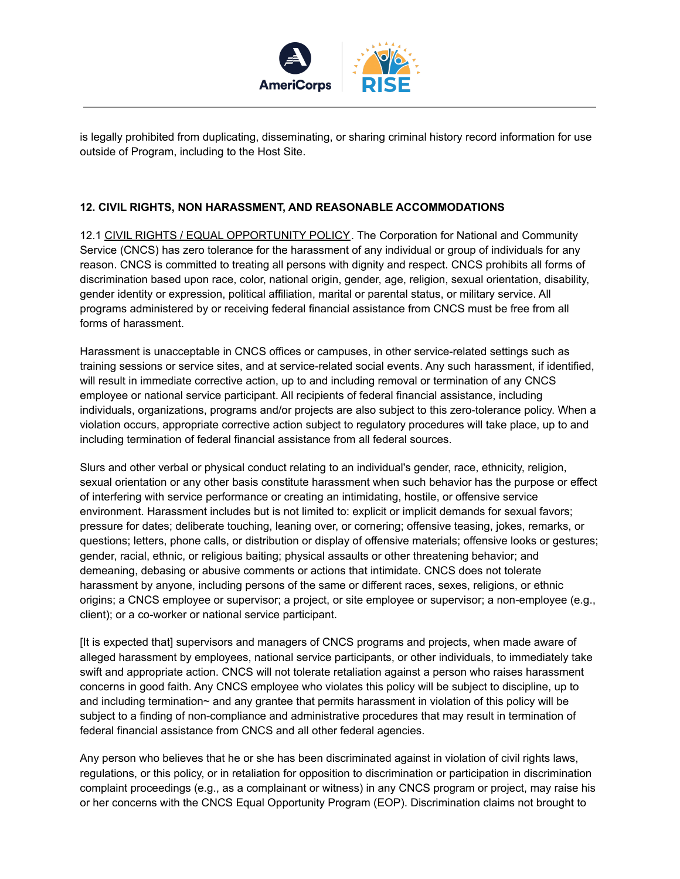

is legally prohibited from duplicating, disseminating, or sharing criminal history record information for use outside of Program, including to the Host Site.

#### **12. CIVIL RIGHTS, NON HARASSMENT, AND REASONABLE ACCOMMODATIONS**

12.1 CIVIL RIGHTS / EQUAL OPPORTUNITY POLICY. The Corporation for National and Community Service (CNCS) has zero tolerance for the harassment of any individual or group of individuals for any reason. CNCS is committed to treating all persons with dignity and respect. CNCS prohibits all forms of discrimination based upon race, color, national origin, gender, age, religion, sexual orientation, disability, gender identity or expression, political affiliation, marital or parental status, or military service. All programs administered by or receiving federal financial assistance from CNCS must be free from all forms of harassment.

Harassment is unacceptable in CNCS offices or campuses, in other service-related settings such as training sessions or service sites, and at service-related social events. Any such harassment, if identified, will result in immediate corrective action, up to and including removal or termination of any CNCS employee or national service participant. All recipients of federal financial assistance, including individuals, organizations, programs and/or projects are also subject to this zero-tolerance policy. When a violation occurs, appropriate corrective action subject to regulatory procedures will take place, up to and including termination of federal financial assistance from all federal sources.

Slurs and other verbal or physical conduct relating to an individual's gender, race, ethnicity, religion, sexual orientation or any other basis constitute harassment when such behavior has the purpose or effect of interfering with service performance or creating an intimidating, hostile, or offensive service environment. Harassment includes but is not limited to: explicit or implicit demands for sexual favors; pressure for dates; deliberate touching, leaning over, or cornering; offensive teasing, jokes, remarks, or questions; letters, phone calls, or distribution or display of offensive materials; offensive looks or gestures; gender, racial, ethnic, or religious baiting; physical assaults or other threatening behavior; and demeaning, debasing or abusive comments or actions that intimidate. CNCS does not tolerate harassment by anyone, including persons of the same or different races, sexes, religions, or ethnic origins; a CNCS employee or supervisor; a project, or site employee or supervisor; a non-employee (e.g., client); or a co-worker or national service participant.

[It is expected that] supervisors and managers of CNCS programs and projects, when made aware of alleged harassment by employees, national service participants, or other individuals, to immediately take swift and appropriate action. CNCS will not tolerate retaliation against a person who raises harassment concerns in good faith. Any CNCS employee who violates this policy will be subject to discipline, up to and including termination~ and any grantee that permits harassment in violation of this policy will be subject to a finding of non-compliance and administrative procedures that may result in termination of federal financial assistance from CNCS and all other federal agencies.

Any person who believes that he or she has been discriminated against in violation of civil rights laws, regulations, or this policy, or in retaliation for opposition to discrimination or participation in discrimination complaint proceedings (e.g., as a complainant or witness) in any CNCS program or project, may raise his or her concerns with the CNCS Equal Opportunity Program (EOP). Discrimination claims not brought to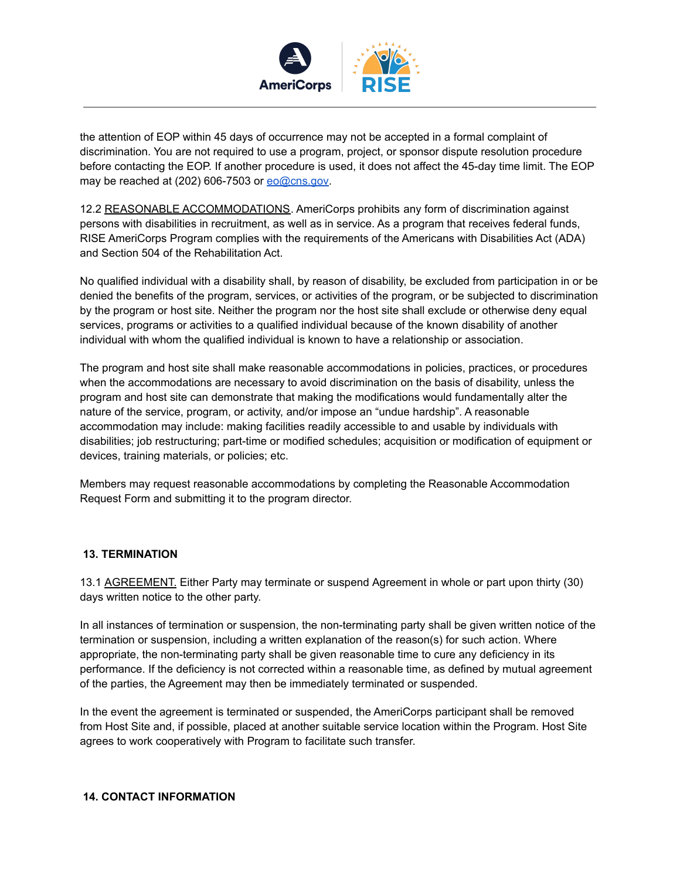

the attention of EOP within 45 days of occurrence may not be accepted in a formal complaint of discrimination. You are not required to use a program, project, or sponsor dispute resolution procedure before contacting the EOP. If another procedure is used, it does not affect the 45-day time limit. The EOP may be reached at (202) 606-7503 or [eo@cns.gov](mailto:eo@cns.gov).

12.2 REASONABLE ACCOMMODATIONS. AmeriCorps prohibits any form of discrimination against persons with disabilities in recruitment, as well as in service. As a program that receives federal funds, RISE AmeriCorps Program complies with the requirements of the Americans with Disabilities Act (ADA) and Section 504 of the Rehabilitation Act.

No qualified individual with a disability shall, by reason of disability, be excluded from participation in or be denied the benefits of the program, services, or activities of the program, or be subjected to discrimination by the program or host site. Neither the program nor the host site shall exclude or otherwise deny equal services, programs or activities to a qualified individual because of the known disability of another individual with whom the qualified individual is known to have a relationship or association.

The program and host site shall make reasonable accommodations in policies, practices, or procedures when the accommodations are necessary to avoid discrimination on the basis of disability, unless the program and host site can demonstrate that making the modifications would fundamentally alter the nature of the service, program, or activity, and/or impose an "undue hardship". A reasonable accommodation may include: making facilities readily accessible to and usable by individuals with disabilities; job restructuring; part-time or modified schedules; acquisition or modification of equipment or devices, training materials, or policies; etc.

Members may request reasonable accommodations by completing the Reasonable Accommodation Request Form and submitting it to the program director.

#### **13. TERMINATION**

13.1 AGREEMENT. Either Party may terminate or suspend Agreement in whole or part upon thirty (30) days written notice to the other party.

In all instances of termination or suspension, the non-terminating party shall be given written notice of the termination or suspension, including a written explanation of the reason(s) for such action. Where appropriate, the non-terminating party shall be given reasonable time to cure any deficiency in its performance. If the deficiency is not corrected within a reasonable time, as defined by mutual agreement of the parties, the Agreement may then be immediately terminated or suspended.

In the event the agreement is terminated or suspended, the AmeriCorps participant shall be removed from Host Site and, if possible, placed at another suitable service location within the Program. Host Site agrees to work cooperatively with Program to facilitate such transfer.

#### **14. CONTACT INFORMATION**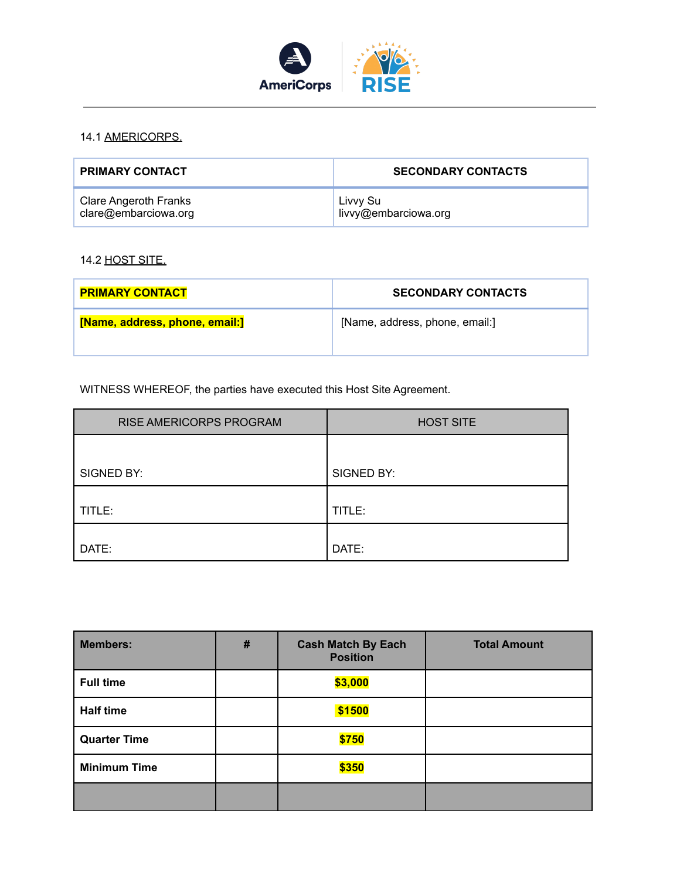

## 14.1 AMERICORPS.

| <b>PRIMARY CONTACT</b>       | <b>SECONDARY CONTACTS</b> |
|------------------------------|---------------------------|
| <b>Clare Angeroth Franks</b> | Livvy Su                  |
| clare@embarciowa.org         | livvy@embarciowa.org      |

## 14.2 HOST SITE.

| <b>PRIMARY CONTACT</b>         | <b>SECONDARY CONTACTS</b>      |
|--------------------------------|--------------------------------|
| [Name, address, phone, email:] | [Name, address, phone, email:] |

WITNESS WHEREOF, the parties have executed this Host Site Agreement.

| RISE AMERICORPS PROGRAM | <b>HOST SITE</b> |
|-------------------------|------------------|
|                         |                  |
| SIGNED BY:              | SIGNED BY:       |
| TITLE:                  | TITLE:           |
| DATE:                   | DATE:            |

| <b>Members:</b>     | $\#$ | <b>Cash Match By Each</b><br><b>Position</b> | <b>Total Amount</b> |
|---------------------|------|----------------------------------------------|---------------------|
| <b>Full time</b>    |      | \$3,000                                      |                     |
| <b>Half time</b>    |      | \$1500                                       |                     |
| <b>Quarter Time</b> |      | \$750                                        |                     |
| <b>Minimum Time</b> |      | \$350                                        |                     |
|                     |      |                                              |                     |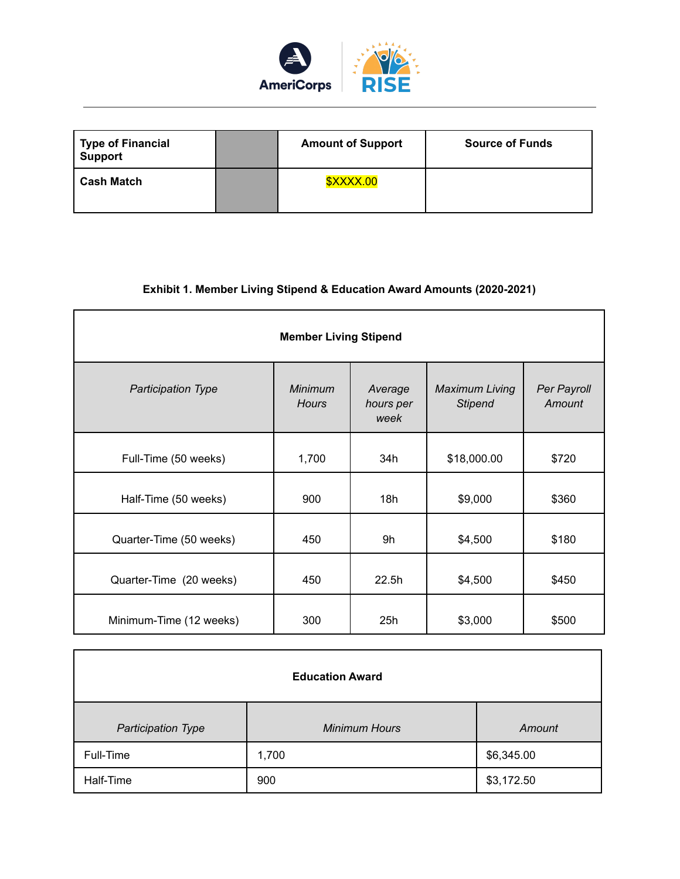

| <b>Type of Financial</b><br><b>Support</b> | <b>Amount of Support</b> | <b>Source of Funds</b> |
|--------------------------------------------|--------------------------|------------------------|
| <b>Cash Match</b>                          | <b>\$XXXX.00</b>         |                        |

## **Exhibit 1. Member Living Stipend & Education Award Amounts (2020-2021)**

| <b>Member Living Stipend</b> |                         |                              |                                         |                       |  |  |
|------------------------------|-------------------------|------------------------------|-----------------------------------------|-----------------------|--|--|
| <b>Participation Type</b>    | Minimum<br><b>Hours</b> | Average<br>hours per<br>week | <b>Maximum Living</b><br><b>Stipend</b> | Per Payroll<br>Amount |  |  |
| Full-Time (50 weeks)         | 1,700                   | 34h                          | \$18,000.00                             | \$720                 |  |  |
| Half-Time (50 weeks)         | 900                     | 18h                          | \$9,000                                 | \$360                 |  |  |
| Quarter-Time (50 weeks)      | 450                     | 9h                           | \$4,500                                 | \$180                 |  |  |
| Quarter-Time (20 weeks)      | 450                     | 22.5h                        | \$4,500                                 | \$450                 |  |  |
| Minimum-Time (12 weeks)      | 300                     | 25h                          | \$3,000                                 | \$500                 |  |  |

| <b>Education Award</b>    |                      |            |  |  |
|---------------------------|----------------------|------------|--|--|
| <b>Participation Type</b> | <b>Minimum Hours</b> | Amount     |  |  |
| Full-Time                 | 1,700                | \$6,345.00 |  |  |
| Half-Time                 | 900                  | \$3,172.50 |  |  |